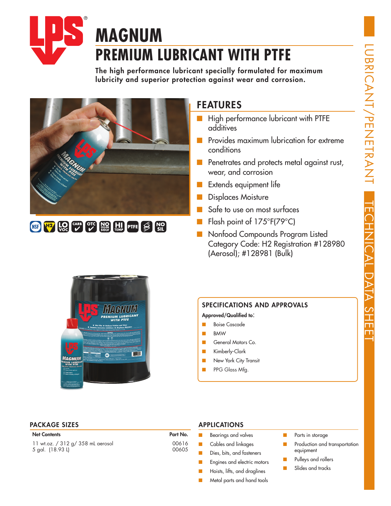

# **MAGNUM PREMIUM LUBRICANT WITH PTFE**

The high performance lubricant specially formulated for maximum lubricity and superior protection against wear and corrosion.





### FEATURES

- High performance lubricant with PTFE additives
- Provides maximum lubrication for extreme conditions
- Penetrates and protects metal against rust, wear, and corrosion
- Extends equipment life
- Displaces Moisture
- Safe to use on most surfaces
- Flash point of 175°F(79°C)
- Nonfood Compounds Program Listed Category Code: H2 Registration #128980 (Aerosol); #128981 (Bulk)



### SPECIFICATIONS AND APPROVALS

Approved/Qualified to:

- Boise Cascade
- BMW
- General Motors Co.
- Kimberly-Clark
- New York City Transit
- PPG Glass Mfg.

#### PACKAGE SIZES APPLICATIONS

#### **Net Contents**

11 wt.oz. / 312 g/ 358 mL aerosol 5 gal. (18.93 L)

| Part No. |       |
|----------|-------|
|          | 00616 |
|          | 00605 |

- Bearings and valves
- Cables and linkages
- Dies, bits, and fasteners
- Engines and electric motors
- Hoists, lifts, and draglines
- Metal parts and hand tools
- Parts in storage
- Production and transportation equipment
- Pulleys and rollers
- Slides and tracks